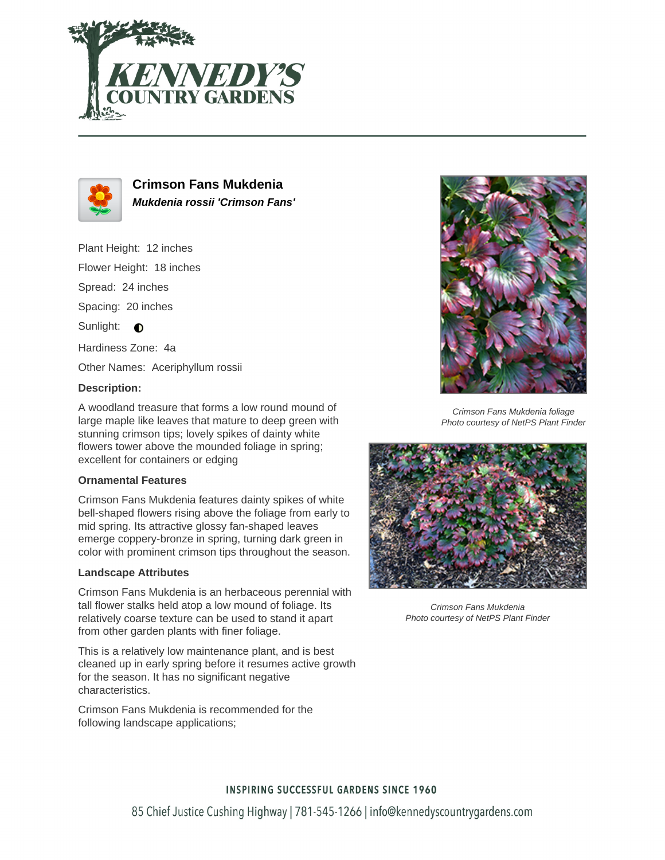



**Crimson Fans Mukdenia Mukdenia rossii 'Crimson Fans'**

Plant Height: 12 inches Flower Height: 18 inches Spread: 24 inches Spacing: 20 inches Sunlight:  $\bigcirc$ Hardiness Zone: 4a Other Names: Aceriphyllum rossii

### **Description:**

A woodland treasure that forms a low round mound of large maple like leaves that mature to deep green with stunning crimson tips; lovely spikes of dainty white flowers tower above the mounded foliage in spring; excellent for containers or edging

### **Ornamental Features**

Crimson Fans Mukdenia features dainty spikes of white bell-shaped flowers rising above the foliage from early to mid spring. Its attractive glossy fan-shaped leaves emerge coppery-bronze in spring, turning dark green in color with prominent crimson tips throughout the season.

### **Landscape Attributes**

Crimson Fans Mukdenia is an herbaceous perennial with tall flower stalks held atop a low mound of foliage. Its relatively coarse texture can be used to stand it apart from other garden plants with finer foliage.

This is a relatively low maintenance plant, and is best cleaned up in early spring before it resumes active growth for the season. It has no significant negative characteristics.

Crimson Fans Mukdenia is recommended for the following landscape applications;



Crimson Fans Mukdenia foliage Photo courtesy of NetPS Plant Finder



Crimson Fans Mukdenia Photo courtesy of NetPS Plant Finder

# **INSPIRING SUCCESSFUL GARDENS SINCE 1960**